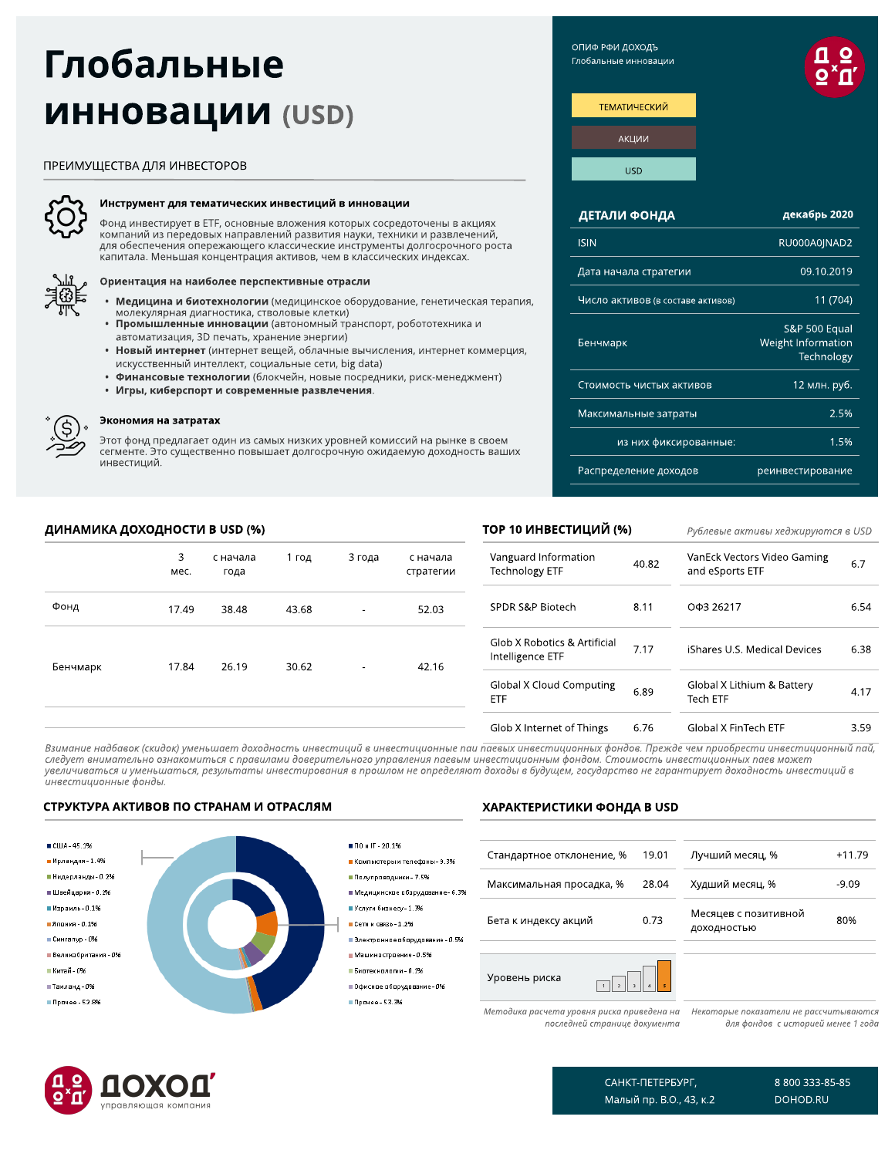# Глобальные **ИННОВАЦИИ (USD)**

# ПРЕИМУЩЕСТВА ДЛЯ ИНВЕСТОРОВ



# Инструмент для тематических инвестиций в инновации

Фонд инвестирует в ETF, основные вложения которых сосредоточены в акциях компаний из передовых направлений развития науки, техники и развлечений, для обеспечения опережающего классические инструменты долгосрочного роста капитала. Меньшая концентрация активов, чем в классических индексах.



# Ориентация на наиболее перспективные отрасли

- Медицина и биотехнологии (медицинское оборудование, генетическая терапия,
- молекулярная диагностика, стволовые клетки) • Промышленные инновации (автономный транспорт, робототехника и автоматизация, 3D печать, хранение энергии)
- Новый интернет (интернет вещей, облачные вычисления, интернет коммерция, искусственный интеллект, социальные сети, big data)
- Финансовые технологии (блокчейн, новые посредники, риск-менеджмент)
- Игры, киберспорт и современные развлечения.



Д

# Экономия на затратах

Этот фонд предлагает один из самых низких уровней комиссий на рынке в своем сегменте. Это существенно повышает долгосрочную ожидаемую доходность ваших инвестиций.

|          | ИНАМИКА ДОХОДНОСТИ В USD (%) |                  |       |        | ТОР 10 ИНВЕСТИЦИЙ (%) |                                                  | Рублевые активы хеджируюп |                                                |
|----------|------------------------------|------------------|-------|--------|-----------------------|--------------------------------------------------|---------------------------|------------------------------------------------|
|          | 3<br>Mec.                    | с начала<br>года | 1 год | 3 года | с начала<br>стратегии | Vanguard Information<br>Technology ETF           | 40.82                     | VanEck Vectors Video Gaming<br>and eSports ETF |
| Þонд     | 17.49                        | 38.48            | 43.68 |        | 52.03                 | SPDR S&P Biotech                                 | 8.11                      | ОФЗ 26217                                      |
| 5енчмарк | 17.84                        | 26.19            | 30.62 |        | 42.16                 | Glob X Robotics & Artificial<br>Intelligence ETF | 7.17                      | iShares U.S. Medical Devices                   |
|          |                              |                  |       |        |                       | <b>Global X Cloud Computing</b><br>ETF           | 6.89                      | Global X Lithium & Battery<br>Tech ETF         |
|          |                              |                  |       |        |                       | Glob X Internet of Things                        | 6.76                      | Global X FinTech ETF                           |

Взимание надбавок (скидок) уменьшает доходность инвестиций в инвестиционные паи паевых инвестиционных фондов. Прежде чем приобрести инвестиционный пай, следует внимательно ознакомиться с правилами доверительного управления паевым инвестиционным фондом. Стоимость инвестиционных паев может увеличиваться и уменьшаться, результаты инвестирования в прошлом не определяют доходы в будущем, государство не гарантирует доходность инвестиций в инвестиционные фонды.

# СТРУКТУРА АКТИВОВ ПО СТРАНАМ И ОТРАСЛЯМ



# ХАРАКТЕРИСТИКИ ФОНДА В USD

| Стандартное отклонение, %                  | 19.01 | Лучший месяц, %                      | $+11.79$ |
|--------------------------------------------|-------|--------------------------------------|----------|
| Максимальная просадка, %                   | 28.04 | Худший месяц, %                      | $-9.09$  |
| Бета к индексу акций                       | 0.73  | Месяцев с позитивной<br>доходностью  | 80%      |
|                                            |       |                                      |          |
| Уровень риска                              |       |                                      |          |
| Методика расчета уровня риска приведена на |       | Некоторые показатели не рассчитывают |          |

последней странице документа

ทค для фондов с историей менее 1 года



САНКТ-ПЕТЕРБУРГ, Малый пр. В.О., 43, к.2 8 800 333-85-85 DOHOD.RU

хеджируются в USD

6.7

6.54

6.38

4.17

3.59

ОПИФ РФИ ДОХОДЪ Глобальные инновации



| ДЕТАЛИ ФОНДА                      | декабрь 2020                                      |
|-----------------------------------|---------------------------------------------------|
| <b>ISIN</b>                       | RU000A0JNAD2                                      |
| Дата начала стратегии             | 09.10.2019                                        |
| Число активов (в составе активов) | 11(704)                                           |
| Бенчмарк                          | S&P 500 Equal<br>Weight Information<br>Technology |
| Стоимость чистых активов          | 12 млн. руб.                                      |
| Максимальные затраты              | 2.5%                                              |
| из них фиксированные:             | 1.5%                                              |
| Распределение доходов             | реинвестирование                                  |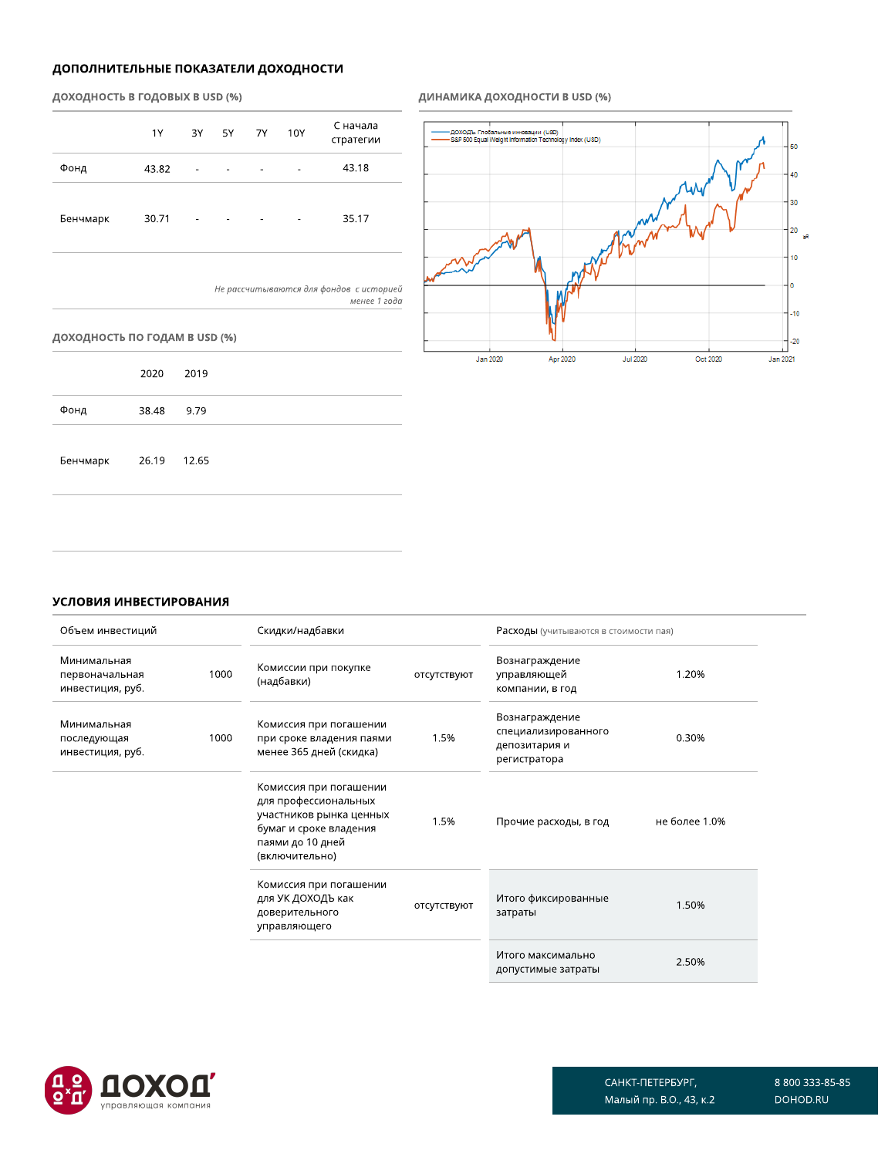# ДОПОЛНИТЕЛЬНЫЕ ПОКАЗАТЕЛИ ДОХОДНОСТИ

# ДОХОДНОСТЬ В ГОДОВЫХ В USD (%)

|          | 1Y    |   | 3Y 5Y 7Y                 |   | 10Y                      | С начала<br>стратегии |
|----------|-------|---|--------------------------|---|--------------------------|-----------------------|
| Фонд     | 43.82 | ٠ | ۰                        | ۰ | ٠                        | 43.18                 |
| Бенчмарк | 30.71 | ٠ | $\overline{\phantom{0}}$ | ۰ | $\overline{\phantom{a}}$ | 35.17                 |

Не рассчитываются для фондов с историей менее 1 года

# доходность по годам в USD (%)

|          | 2020        | 2019 |
|----------|-------------|------|
| Фонд     | 38.48       | 9.79 |
| Бенчмарк | 26.19 12.65 |      |

# ДИНАМИКА ДОХОДНОСТИ В USD (%)



# УСЛОВИЯ ИНВЕСТИРОВАНИЯ

| Объем инвестиций                                  |      | Скидки/надбавки                                                                                                                           |             | Расходы (учитываются в стоимости пая)                                  |               |
|---------------------------------------------------|------|-------------------------------------------------------------------------------------------------------------------------------------------|-------------|------------------------------------------------------------------------|---------------|
| Минимальная<br>первоначальная<br>инвестиция, руб. | 1000 | Комиссии при покупке<br>(надбавки)                                                                                                        | ОТСУТСТВУЮТ | Вознаграждение<br>управляющей<br>компании, в год                       | 1.20%         |
| Минимальная<br>последующая<br>инвестиция, руб.    | 1000 | Комиссия при погашении<br>при сроке владения паями<br>менее 365 дней (скидка)                                                             | 1.5%        | Вознаграждение<br>специализированного<br>депозитария и<br>регистратора | 0.30%         |
|                                                   |      | Комиссия при погашении<br>для профессиональных<br>участников рынка ценных<br>бумаг и сроке владения<br>паями до 10 дней<br>(включительно) | 1.5%        | Прочие расходы, в год                                                  | не более 1.0% |
|                                                   |      | Комиссия при погашении<br>для УК ДОХОДЪ как<br>доверительного<br>управляющего                                                             | отсутствуют | Итого фиксированные<br>затраты                                         | 1.50%         |
|                                                   |      |                                                                                                                                           |             | Итого максимально<br>допустимые затраты                                | 2.50%         |